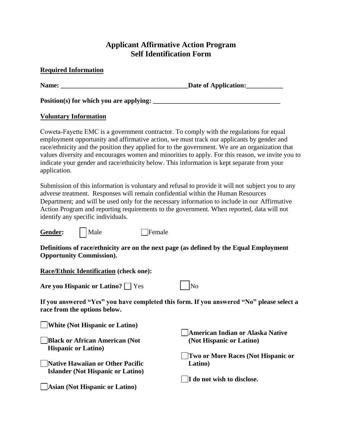## **Applicant Affirmative Action Program Self Identification Form**

## **Required Information**

**Name: \_\_\_\_\_\_\_\_\_\_\_\_\_\_\_\_\_\_\_\_\_\_\_\_\_\_\_\_\_\_\_\_\_\_\_\_\_\_Date of Application:\_\_\_\_\_\_\_\_\_\_\_** 

**Position(s) for which you are applying: \_\_\_\_\_\_\_\_\_\_\_\_\_\_\_\_\_\_\_\_\_\_\_\_\_\_\_\_\_\_\_\_\_\_\_\_\_\_** 

## **Voluntary Information**

Coweta-Fayette EMC is a government contractor. To comply with the regulations for equal employment opportunity and affirmative action, we must track our applicants by gender and race/ethnicity and the position they applied for to the government. We are an organization that values diversity and encourages women and minorities to apply. For this reason, we invite you to indicate your gender and race/ethnicity below. This information is kept separate from your application.

Submission of this information is voluntary and refusal to provide it will not subject you to any adverse treatment. Responses will remain confidential within the Human Resources Department; and will be used only for the necessary information to include in our Affirmative Action Program and reporting requirements to the government. When reported, data will not identify any specific individuals.

Gender: | | Male Female

**Definitions of race/ethnicity are on the next page (as defined by the Equal Employment Opportunity Commission).**

**Race/Ethnic Identification (check one):**

**Are you Hispanic or Latino?** Pes

**If you answered "Yes" you have completed this form. If you answered "No" please select a race from the options below.** 

| White (Not Hispanic or Latino)           |                                         |
|------------------------------------------|-----------------------------------------|
|                                          | <b>American Indian or Alaska Native</b> |
| <b>Black or African American (Not</b>    | (Not Hispanic or Latino)                |
| <b>Hispanic or Latino</b> )              |                                         |
|                                          | Two or More Races (Not Hispanic or      |
| Native Hawaiian or Other Pacific         | Latino)                                 |
| <b>Islander (Not Hispanic or Latino)</b> |                                         |
|                                          | I do not wish to disclose.              |
| Asian (Not Hispanic or Latino)           |                                         |